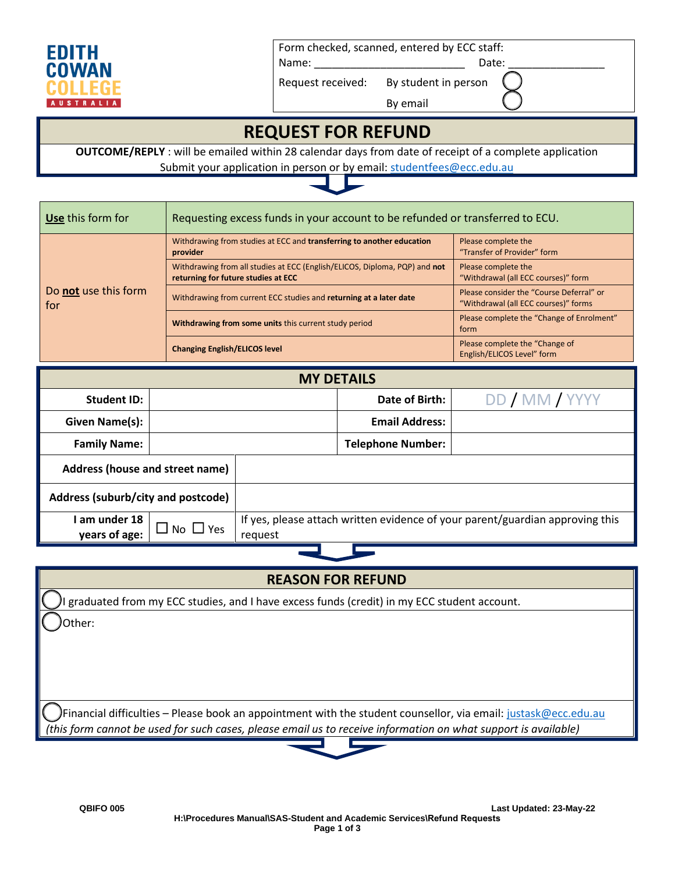

Form checked, scanned, entered by ECC staff:

By email

Name: Example 20 and 20 and 20 and 20 and 20 and 20 and 20 and 20 and 20 and 20 and 20 and 20 and 20 and 20 and 20 and 20 and 20 and 20 and 20 and 20 and 20 and 20 and 20 and 20 and 20 and 20 and 20 and 20 and 20 and 20 an

Request received: By student in person

## **REQUEST FOR REFUND**

**OUTCOME/REPLY** : will be emailed within 28 calendar days from date of receipt of a complete application Submit your application in person or by email: studentfees@ecc.edu.au



| Use this form for           | Requesting excess funds in your account to be refunded or transferred to ECU.                                     |                                                                                  |  |
|-----------------------------|-------------------------------------------------------------------------------------------------------------------|----------------------------------------------------------------------------------|--|
| Do not use this form<br>for | Withdrawing from studies at ECC and transferring to another education<br>provider                                 | Please complete the<br>"Transfer of Provider" form                               |  |
|                             | Withdrawing from all studies at ECC (English/ELICOS, Diploma, PQP) and not<br>returning for future studies at ECC | Please complete the<br>"Withdrawal (all ECC courses)" form                       |  |
|                             | Withdrawing from current ECC studies and returning at a later date                                                | Please consider the "Course Deferral" or<br>"Withdrawal (all ECC courses)" forms |  |
|                             | Withdrawing from some units this current study period                                                             | Please complete the "Change of Enrolment"<br>form                                |  |
|                             | <b>Changing English/ELICOS level</b>                                                                              | Please complete the "Change of<br>English/ELICOS Level" form                     |  |

| <b>MY DETAILS</b>                  |                      |                                                                                          |                          |                |
|------------------------------------|----------------------|------------------------------------------------------------------------------------------|--------------------------|----------------|
| <b>Student ID:</b>                 |                      |                                                                                          | Date of Birth:           | DD / MM / YYYY |
| <b>Given Name(s):</b>              |                      |                                                                                          | <b>Email Address:</b>    |                |
| <b>Family Name:</b>                |                      |                                                                                          | <b>Telephone Number:</b> |                |
| Address (house and street name)    |                      |                                                                                          |                          |                |
| Address (suburb/city and postcode) |                      |                                                                                          |                          |                |
| am under 18<br>years of age:       | $\Box$ No $\Box$ Yes | If yes, please attach written evidence of your parent/guardian approving this<br>request |                          |                |
|                                    |                      |                                                                                          |                          |                |

### **REASON FOR REFUND**

I graduated from my ECC studies, and I have excess funds (credit) in my ECC student account.

Other:

Financial difficulties – Please book an appointment with the student counsellor, via email: justask@ecc.edu.au *(this form cannot be used for such cases, please email us to receive information on what support is available)*

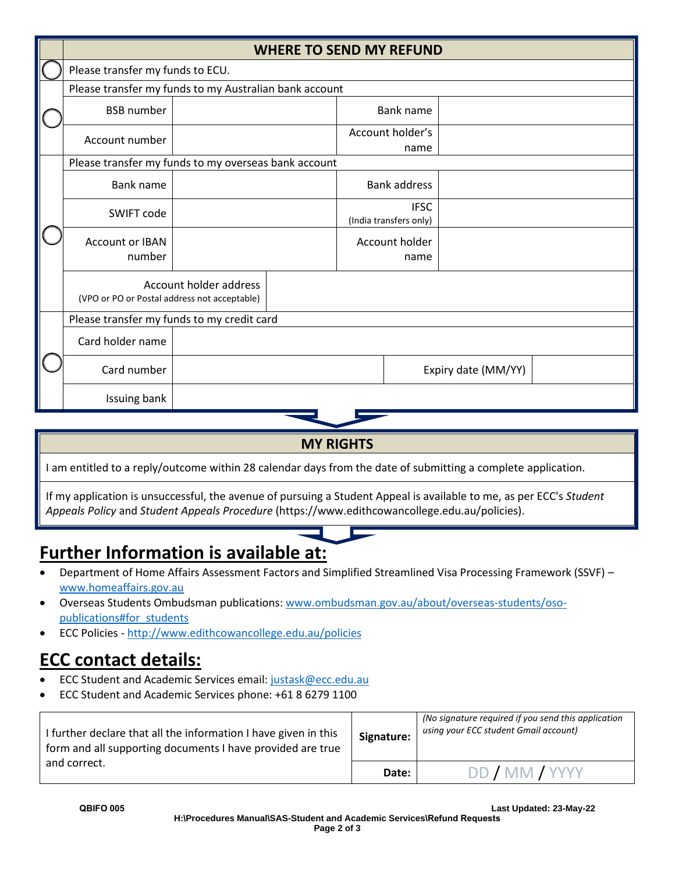|  | <b>WHERE TO SEND MY REFUND</b>                         |                        |  |  |                                       |                     |  |
|--|--------------------------------------------------------|------------------------|--|--|---------------------------------------|---------------------|--|
|  | Please transfer my funds to ECU.                       |                        |  |  |                                       |                     |  |
|  | Please transfer my funds to my Australian bank account |                        |  |  |                                       |                     |  |
|  | <b>BSB</b> number                                      |                        |  |  | Bank name                             |                     |  |
|  | Account number                                         |                        |  |  | Account holder's<br>name              |                     |  |
|  | Please transfer my funds to my overseas bank account   |                        |  |  |                                       |                     |  |
|  | Bank name                                              |                        |  |  | <b>Bank address</b>                   |                     |  |
|  | SWIFT code                                             |                        |  |  | <b>IFSC</b><br>(India transfers only) |                     |  |
|  | <b>Account or IBAN</b><br>number                       |                        |  |  | Account holder<br>name                |                     |  |
|  | (VPO or PO or Postal address not acceptable)           | Account holder address |  |  |                                       |                     |  |
|  | Please transfer my funds to my credit card             |                        |  |  |                                       |                     |  |
|  | Card holder name                                       |                        |  |  |                                       |                     |  |
|  | Card number                                            |                        |  |  |                                       | Expiry date (MM/YY) |  |
|  | Issuing bank                                           |                        |  |  |                                       |                     |  |

# **MY RIGHTS**

I am entitled to a reply/outcome within 28 calendar days from the date of submitting a complete application.

If my application is unsuccessful, the avenue of pursuing a Student Appeal is available to me, as per ECC's *Student Appeals Policy* and *Student Appeals Procedure* (https://www.edithcowancollege.edu.au/policies).

# **Further Information is available at:**

- Department of Home Affairs Assessment Factors and Simplified Streamlined Visa Processing Framework (SSVF) [www.homeaffairs.gov.au](http://www.homeaffairs.gov.au/)
- Overseas Students Ombudsman publications: [www.ombudsman.gov.au/about/overseas-students/oso](http://www.ombudsman.gov.au/about/overseas-students/oso-publications#for_students)[publications#for\\_students](http://www.ombudsman.gov.au/about/overseas-students/oso-publications#for_students)
- ECC Policies [http://www.edithcowancollege.edu.au/policies](http://www.pibt.wa.edu.au/policies)

# **ECC contact details:**

- ECC Student and Academic Services email: [justask@ecc.edu.au](mailto:justask@ecc.edu.au)
- ECC Student and Academic Services phone: +61 8 6279 1100

| I further declare that all the information I have given in this<br>form and all supporting documents I have provided are true | Signature: | (No signature required if you send this application<br>using your ECC student Gmail account) |
|-------------------------------------------------------------------------------------------------------------------------------|------------|----------------------------------------------------------------------------------------------|
| and correct.                                                                                                                  | Date:      | DD / MM / YYYY                                                                               |